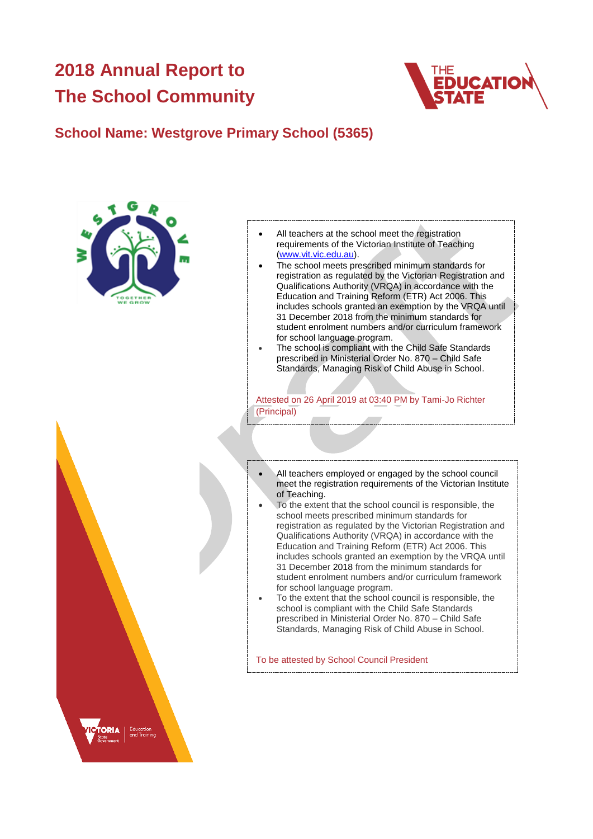# **2018 Annual Report to The School Community**



## **School Name: Westgrove Primary School (5365)**



- All teachers at the school meet the registration requirements of the Victorian Institute of Teaching [\(www.vit.vic.edu.au\)](https://www.vit.vic.edu.au/).
- The school meets prescribed minimum standards for registration as regulated by the Victorian Registration and Qualifications Authority (VRQA) in accordance with the Education and Training Reform (ETR) Act 2006. This includes schools granted an exemption by the VRQA until 31 December 2018 from the minimum standards for student enrolment numbers and/or curriculum framework for school language program.
- The school is compliant with the Child Safe Standards prescribed in Ministerial Order No. 870 – Child Safe Standards, Managing Risk of Child Abuse in School.

Attested on 26 April 2019 at 03:40 PM by Tami-Jo Richter (Principal)

- All teachers employed or engaged by the school council meet the registration requirements of the Victorian Institute of Teaching.
- To the extent that the school council is responsible, the school meets prescribed minimum standards for registration as regulated by the Victorian Registration and Qualifications Authority (VRQA) in accordance with the Education and Training Reform (ETR) Act 2006. This includes schools granted an exemption by the VRQA until 31 December 2018 from the minimum standards for student enrolment numbers and/or curriculum framework for school language program.
- To the extent that the school council is responsible, the school is compliant with the Child Safe Standards prescribed in Ministerial Order No. 870 – Child Safe Standards, Managing Risk of Child Abuse in School.

To be attested by School Council President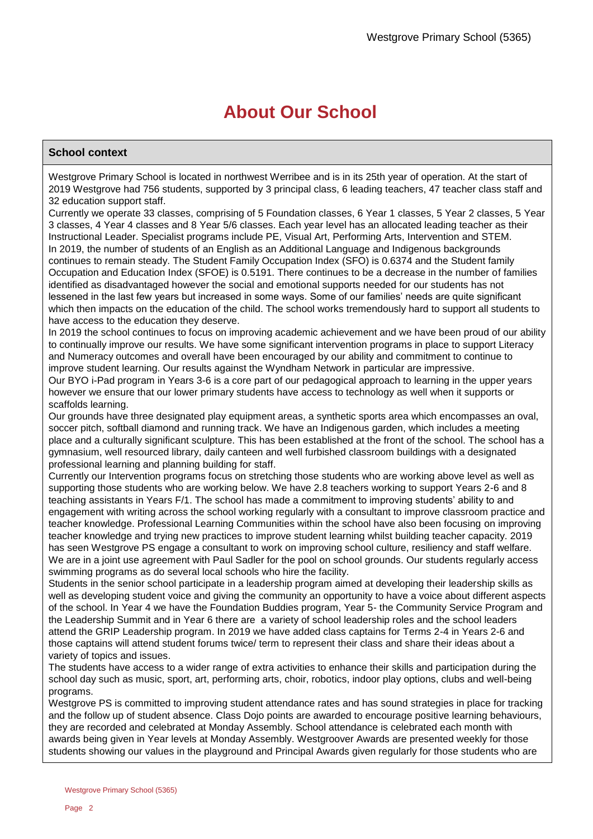# **About Our School**

### **School context**

Westgrove Primary School is located in northwest Werribee and is in its 25th year of operation. At the start of 2019 Westgrove had 756 students, supported by 3 principal class, 6 leading teachers, 47 teacher class staff and 32 education support staff.

Currently we operate 33 classes, comprising of 5 Foundation classes, 6 Year 1 classes, 5 Year 2 classes, 5 Year 3 classes, 4 Year 4 classes and 8 Year 5/6 classes. Each year level has an allocated leading teacher as their Instructional Leader. Specialist programs include PE, Visual Art, Performing Arts, Intervention and STEM. In 2019, the number of students of an English as an Additional Language and Indigenous backgrounds continues to remain steady. The Student Family Occupation Index (SFO) is 0.6374 and the Student family Occupation and Education Index (SFOE) is 0.5191. There continues to be a decrease in the number of families identified as disadvantaged however the social and emotional supports needed for our students has not lessened in the last few years but increased in some ways. Some of our families' needs are quite significant which then impacts on the education of the child. The school works tremendously hard to support all students to have access to the education they deserve.

In 2019 the school continues to focus on improving academic achievement and we have been proud of our ability to continually improve our results. We have some significant intervention programs in place to support Literacy and Numeracy outcomes and overall have been encouraged by our ability and commitment to continue to improve student learning. Our results against the Wyndham Network in particular are impressive.

Our BYO i-Pad program in Years 3-6 is a core part of our pedagogical approach to learning in the upper years however we ensure that our lower primary students have access to technology as well when it supports or scaffolds learning.

Our grounds have three designated play equipment areas, a synthetic sports area which encompasses an oval, soccer pitch, softball diamond and running track. We have an Indigenous garden, which includes a meeting place and a culturally significant sculpture. This has been established at the front of the school. The school has a gymnasium, well resourced library, daily canteen and well furbished classroom buildings with a designated professional learning and planning building for staff.

Currently our Intervention programs focus on stretching those students who are working above level as well as supporting those students who are working below. We have 2.8 teachers working to support Years 2-6 and 8 teaching assistants in Years F/1. The school has made a commitment to improving students' ability to and engagement with writing across the school working regularly with a consultant to improve classroom practice and teacher knowledge. Professional Learning Communities within the school have also been focusing on improving teacher knowledge and trying new practices to improve student learning whilst building teacher capacity. 2019 has seen Westgrove PS engage a consultant to work on improving school culture, resiliency and staff welfare. We are in a joint use agreement with Paul Sadler for the pool on school grounds. Our students regularly access swimming programs as do several local schools who hire the facility.

Students in the senior school participate in a leadership program aimed at developing their leadership skills as well as developing student voice and giving the community an opportunity to have a voice about different aspects of the school. In Year 4 we have the Foundation Buddies program, Year 5- the Community Service Program and the Leadership Summit and in Year 6 there are a variety of school leadership roles and the school leaders attend the GRIP Leadership program. In 2019 we have added class captains for Terms 2-4 in Years 2-6 and those captains will attend student forums twice/ term to represent their class and share their ideas about a variety of topics and issues.

The students have access to a wider range of extra activities to enhance their skills and participation during the school day such as music, sport, art, performing arts, choir, robotics, indoor play options, clubs and well-being programs.

Westgrove PS is committed to improving student attendance rates and has sound strategies in place for tracking and the follow up of student absence. Class Dojo points are awarded to encourage positive learning behaviours, they are recorded and celebrated at Monday Assembly. School attendance is celebrated each month with awards being given in Year levels at Monday Assembly. Westgroover Awards are presented weekly for those students showing our values in the playground and Principal Awards given regularly for those students who are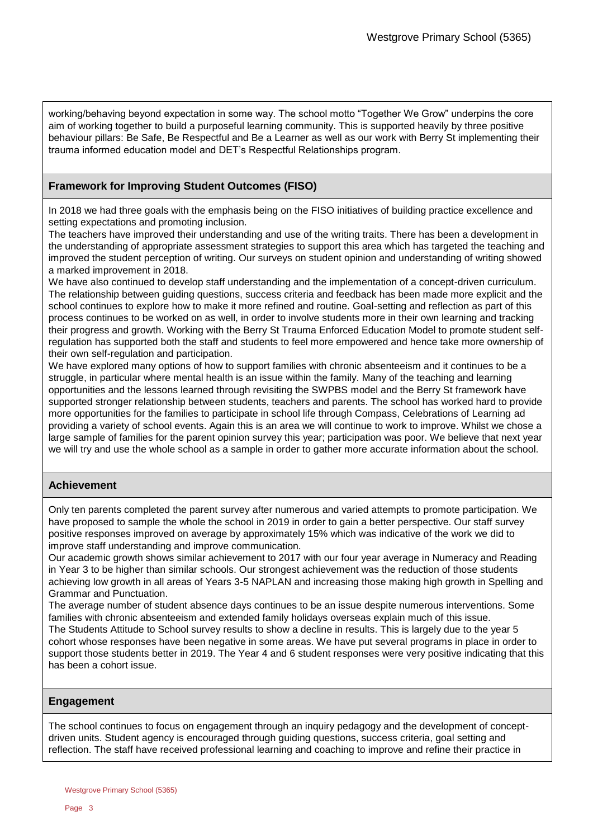working/behaving beyond expectation in some way. The school motto "Together We Grow" underpins the core aim of working together to build a purposeful learning community. This is supported heavily by three positive behaviour pillars: Be Safe, Be Respectful and Be a Learner as well as our work with Berry St implementing their trauma informed education model and DET's Respectful Relationships program.

### **Framework for Improving Student Outcomes (FISO)**

In 2018 we had three goals with the emphasis being on the FISO initiatives of building practice excellence and setting expectations and promoting inclusion.

The teachers have improved their understanding and use of the writing traits. There has been a development in the understanding of appropriate assessment strategies to support this area which has targeted the teaching and improved the student perception of writing. Our surveys on student opinion and understanding of writing showed a marked improvement in 2018.

We have also continued to develop staff understanding and the implementation of a concept-driven curriculum. The relationship between guiding questions, success criteria and feedback has been made more explicit and the school continues to explore how to make it more refined and routine. Goal-setting and reflection as part of this process continues to be worked on as well, in order to involve students more in their own learning and tracking their progress and growth. Working with the Berry St Trauma Enforced Education Model to promote student selfregulation has supported both the staff and students to feel more empowered and hence take more ownership of their own self-regulation and participation.

We have explored many options of how to support families with chronic absenteeism and it continues to be a struggle, in particular where mental health is an issue within the family. Many of the teaching and learning opportunities and the lessons learned through revisiting the SWPBS model and the Berry St framework have supported stronger relationship between students, teachers and parents. The school has worked hard to provide more opportunities for the families to participate in school life through Compass, Celebrations of Learning ad providing a variety of school events. Again this is an area we will continue to work to improve. Whilst we chose a large sample of families for the parent opinion survey this year; participation was poor. We believe that next year we will try and use the whole school as a sample in order to gather more accurate information about the school.

### **Achievement**

Only ten parents completed the parent survey after numerous and varied attempts to promote participation. We have proposed to sample the whole the school in 2019 in order to gain a better perspective. Our staff survey positive responses improved on average by approximately 15% which was indicative of the work we did to improve staff understanding and improve communication.

Our academic growth shows similar achievement to 2017 with our four year average in Numeracy and Reading in Year 3 to be higher than similar schools. Our strongest achievement was the reduction of those students achieving low growth in all areas of Years 3-5 NAPLAN and increasing those making high growth in Spelling and Grammar and Punctuation.

The average number of student absence days continues to be an issue despite numerous interventions. Some families with chronic absenteeism and extended family holidays overseas explain much of this issue. The Students Attitude to School survey results to show a decline in results. This is largely due to the year 5 cohort whose responses have been negative in some areas. We have put several programs in place in order to support those students better in 2019. The Year 4 and 6 student responses were very positive indicating that this has been a cohort issue.

### **Engagement**

The school continues to focus on engagement through an inquiry pedagogy and the development of conceptdriven units. Student agency is encouraged through guiding questions, success criteria, goal setting and reflection. The staff have received professional learning and coaching to improve and refine their practice in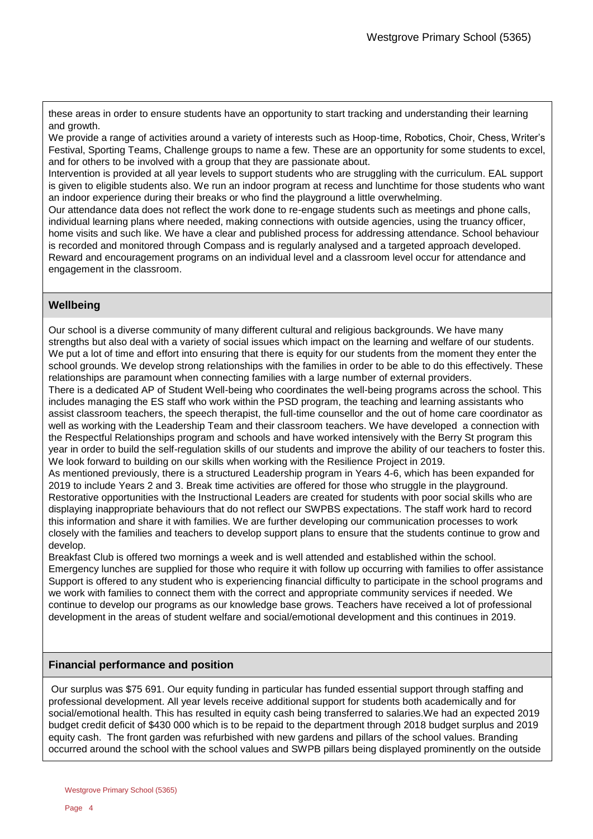these areas in order to ensure students have an opportunity to start tracking and understanding their learning and growth.

We provide a range of activities around a variety of interests such as Hoop-time, Robotics, Choir, Chess, Writer's Festival, Sporting Teams, Challenge groups to name a few. These are an opportunity for some students to excel, and for others to be involved with a group that they are passionate about.

Intervention is provided at all year levels to support students who are struggling with the curriculum. EAL support is given to eligible students also. We run an indoor program at recess and lunchtime for those students who want an indoor experience during their breaks or who find the playground a little overwhelming.

Our attendance data does not reflect the work done to re-engage students such as meetings and phone calls, individual learning plans where needed, making connections with outside agencies, using the truancy officer, home visits and such like. We have a clear and published process for addressing attendance. School behaviour is recorded and monitored through Compass and is regularly analysed and a targeted approach developed. Reward and encouragement programs on an individual level and a classroom level occur for attendance and engagement in the classroom.

### **Wellbeing**

Our school is a diverse community of many different cultural and religious backgrounds. We have many strengths but also deal with a variety of social issues which impact on the learning and welfare of our students. We put a lot of time and effort into ensuring that there is equity for our students from the moment they enter the school grounds. We develop strong relationships with the families in order to be able to do this effectively. These relationships are paramount when connecting families with a large number of external providers.

There is a dedicated AP of Student Well-being who coordinates the well-being programs across the school. This includes managing the ES staff who work within the PSD program, the teaching and learning assistants who assist classroom teachers, the speech therapist, the full-time counsellor and the out of home care coordinator as well as working with the Leadership Team and their classroom teachers. We have developed a connection with the Respectful Relationships program and schools and have worked intensively with the Berry St program this year in order to build the self-regulation skills of our students and improve the ability of our teachers to foster this. We look forward to building on our skills when working with the Resilience Project in 2019.

As mentioned previously, there is a structured Leadership program in Years 4-6, which has been expanded for 2019 to include Years 2 and 3. Break time activities are offered for those who struggle in the playground. Restorative opportunities with the Instructional Leaders are created for students with poor social skills who are displaying inappropriate behaviours that do not reflect our SWPBS expectations. The staff work hard to record this information and share it with families. We are further developing our communication processes to work closely with the families and teachers to develop support plans to ensure that the students continue to grow and develop.

Breakfast Club is offered two mornings a week and is well attended and established within the school. Emergency lunches are supplied for those who require it with follow up occurring with families to offer assistance Support is offered to any student who is experiencing financial difficulty to participate in the school programs and we work with families to connect them with the correct and appropriate community services if needed. We continue to develop our programs as our knowledge base grows. Teachers have received a lot of professional development in the areas of student welfare and social/emotional development and this continues in 2019.

### **Financial performance and position**

Our surplus was \$75 691. Our equity funding in particular has funded essential support through staffing and professional development. All year levels receive additional support for students both academically and for social/emotional health. This has resulted in equity cash being transferred to salaries. We had an expected 2019 budget credit deficit of \$430 000 which is to be repaid to the department through 2018 budget surplus and 2019 equity cash. The front garden was refurbished with new gardens and pillars of the school values. Branding occurred around the school with the school values and SWPB pillars being displayed prominently on the outside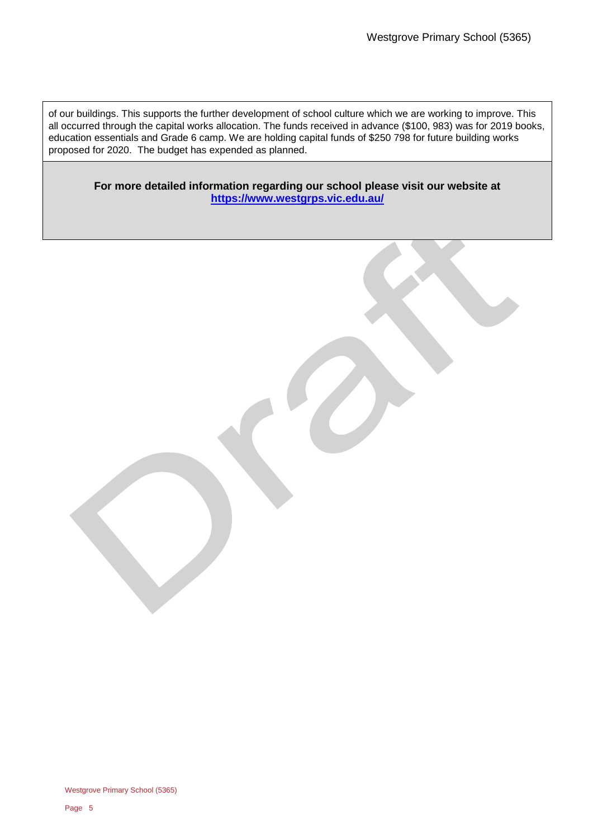of our buildings. This supports the further development of school culture which we are working to improve. This all occurred through the capital works allocation. The funds received in advance (\$100, 983) was for 2019 books, education essentials and Grade 6 camp. We are holding capital funds of \$250 798 for future building works proposed for 2020. The budget has expended as planned.

**For more detailed information regarding our school please visit our website at <https://www.westgrps.vic.edu.au/>**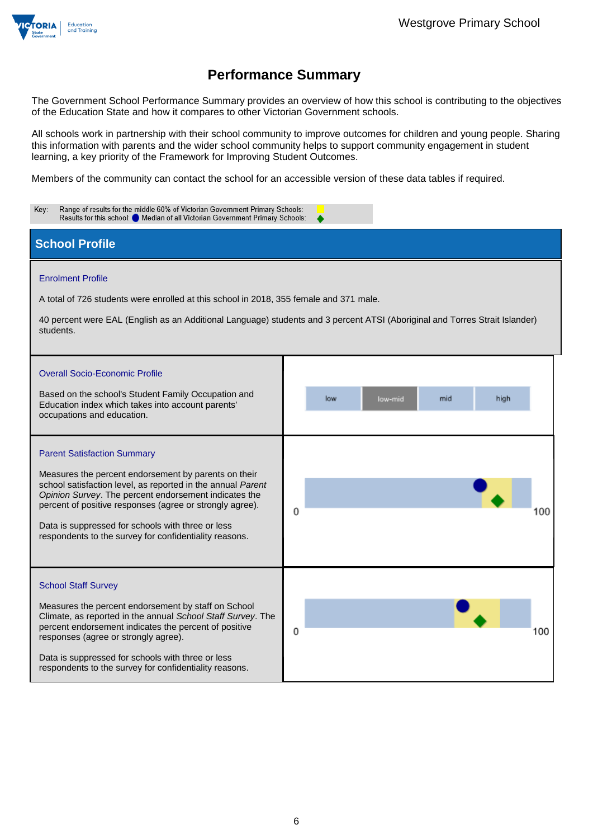

The Government School Performance Summary provides an overview of how this school is contributing to the objectives of the Education State and how it compares to other Victorian Government schools.

All schools work in partnership with their school community to improve outcomes for children and young people. Sharing this information with parents and the wider school community helps to support community engagement in student learning, a key priority of the Framework for Improving Student Outcomes.

Members of the community can contact the school for an accessible version of these data tables if required.

| Range of results for the middle 60% of Victorian Government Primary Schools:<br>Key:<br>Results for this school: O Median of all Victorian Government Primary Schools:                                                                                                                                                                                                                        |   |     |         |     |      |     |
|-----------------------------------------------------------------------------------------------------------------------------------------------------------------------------------------------------------------------------------------------------------------------------------------------------------------------------------------------------------------------------------------------|---|-----|---------|-----|------|-----|
| <b>School Profile</b>                                                                                                                                                                                                                                                                                                                                                                         |   |     |         |     |      |     |
| <b>Enrolment Profile</b><br>A total of 726 students were enrolled at this school in 2018, 355 female and 371 male.<br>40 percent were EAL (English as an Additional Language) students and 3 percent ATSI (Aboriginal and Torres Strait Islander)<br>students.                                                                                                                                |   |     |         |     |      |     |
| <b>Overall Socio-Economic Profile</b><br>Based on the school's Student Family Occupation and<br>Education index which takes into account parents'<br>occupations and education.                                                                                                                                                                                                               |   | low | low-mid | mid | high |     |
| <b>Parent Satisfaction Summary</b><br>Measures the percent endorsement by parents on their<br>school satisfaction level, as reported in the annual Parent<br>Opinion Survey. The percent endorsement indicates the<br>percent of positive responses (agree or strongly agree).<br>Data is suppressed for schools with three or less<br>respondents to the survey for confidentiality reasons. | 0 |     |         |     |      | 100 |
| <b>School Staff Survey</b><br>Measures the percent endorsement by staff on School<br>Climate, as reported in the annual School Staff Survey. The<br>percent endorsement indicates the percent of positive<br>responses (agree or strongly agree).<br>Data is suppressed for schools with three or less<br>respondents to the survey for confidentiality reasons.                              | 0 |     |         |     |      | 100 |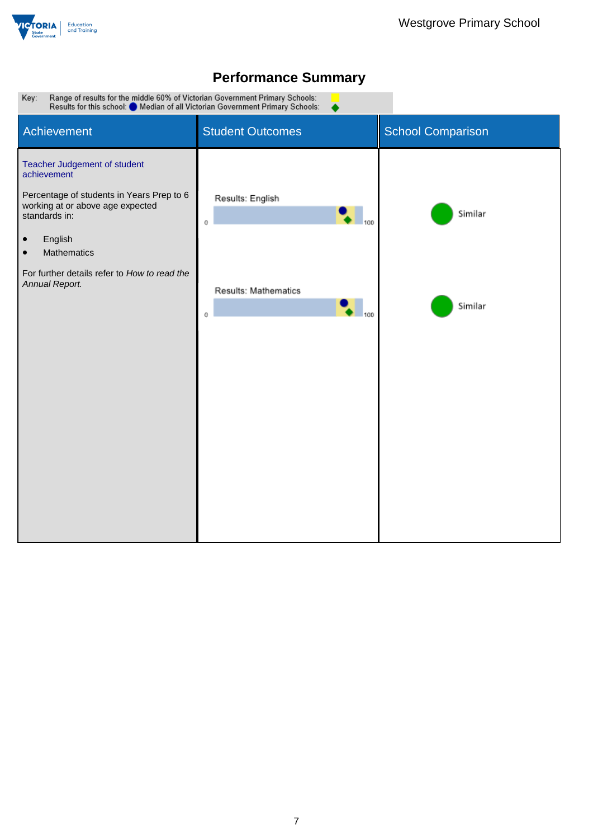

# Range of results for the middle 60% of Victorian Government Primary Schools:<br>Results for this school: O Median of all Victorian Government Primary Schools: Key: Student Outcomes Student Outcomes Achievement Teacher Judgement of student achievement Percentage of students in Years Prep to 6 Results: English working at or above age expected  $\overline{\phantom{0}}$  100 Similar standards in:  $\mathfrak o$ • English • Mathematics For further details refer to *How to read the Annual Report.* **Results: Mathematics** Similar  $\overline{\phantom{a}}$  100  $\,0\,$

# **Performance Summary**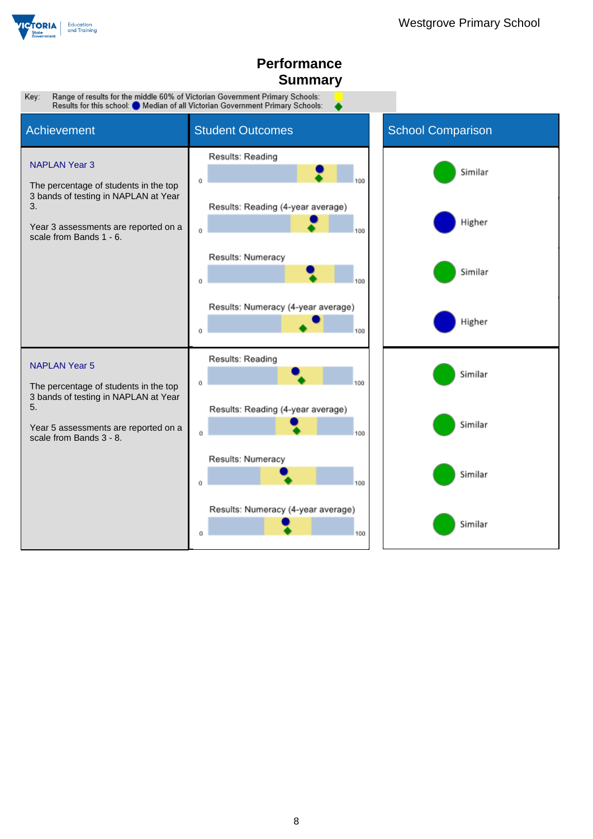

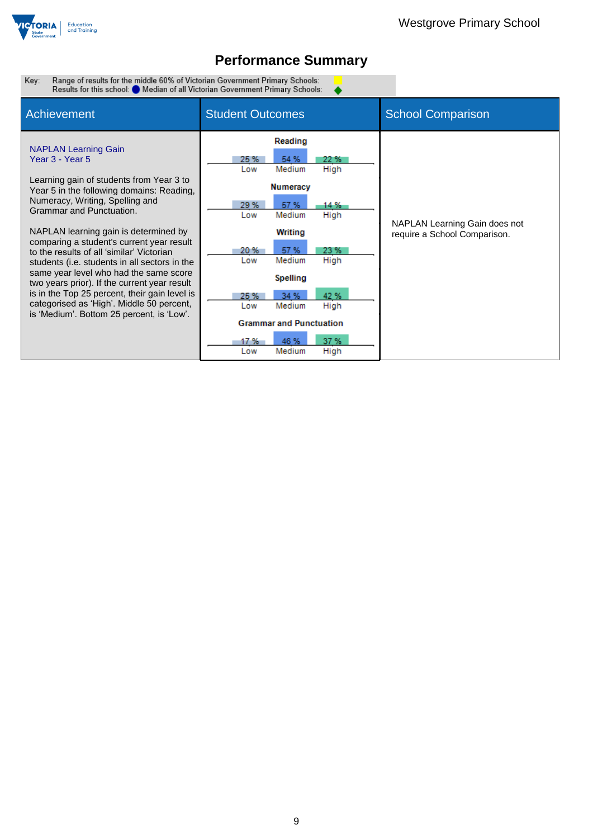

٠

Range of results for the middle 60% of Victorian Government Primary Schools:<br>Results for this school: ● Median of all Victorian Government Primary Schools: Key:

| Achievement                                                                                                                                                                                                                                                                                                                                                                                                                                                                                                                                                                                                                     | <b>Student Outcomes</b>                                                                                                                                                                                                                                                                                                                 | <b>School Comparison</b>                                      |
|---------------------------------------------------------------------------------------------------------------------------------------------------------------------------------------------------------------------------------------------------------------------------------------------------------------------------------------------------------------------------------------------------------------------------------------------------------------------------------------------------------------------------------------------------------------------------------------------------------------------------------|-----------------------------------------------------------------------------------------------------------------------------------------------------------------------------------------------------------------------------------------------------------------------------------------------------------------------------------------|---------------------------------------------------------------|
| <b>NAPLAN Learning Gain</b><br>Year 3 - Year 5<br>Learning gain of students from Year 3 to<br>Year 5 in the following domains: Reading,<br>Numeracy, Writing, Spelling and<br>Grammar and Punctuation.<br>NAPLAN learning gain is determined by<br>comparing a student's current year result<br>to the results of all 'similar' Victorian<br>students (i.e. students in all sectors in the<br>same year level who had the same score<br>two years prior). If the current year result<br>is in the Top 25 percent, their gain level is<br>categorised as 'High'. Middle 50 percent,<br>is 'Medium'. Bottom 25 percent, is 'Low'. | Reading<br>25 %<br>54 %<br>22 %<br>Medium<br>High<br>Low<br><b>Numeracy</b><br>29 %<br>57 %<br>14 %<br>Medium<br>High<br>Low<br>Writing<br>57 %<br>23 %<br>20%<br>Medium<br>High<br>Low<br>Spelling<br>42 %<br>34 %<br>25 %<br>Medium<br>High<br>Low<br><b>Grammar and Punctuation</b><br>37 %<br>46 %<br>17 %<br>Medium<br>High<br>Low | NAPLAN Learning Gain does not<br>require a School Comparison. |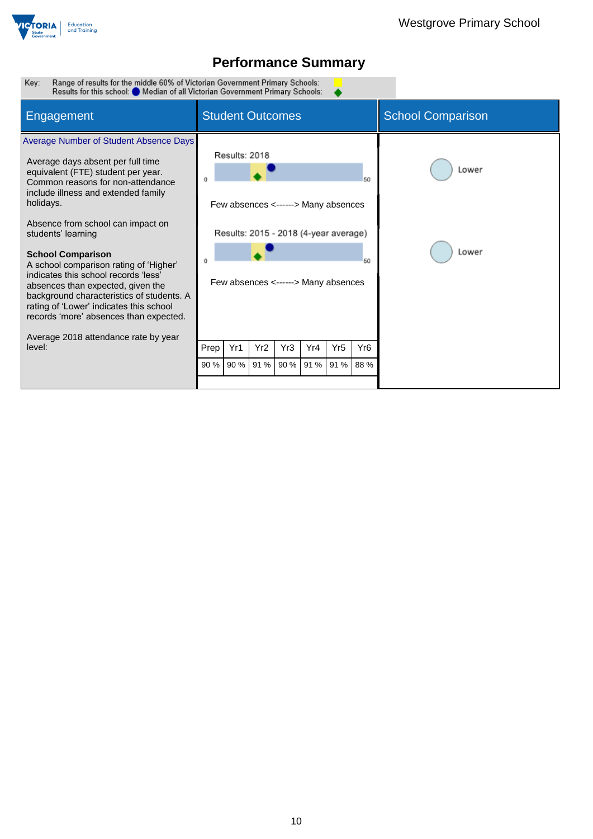

Range of results for the middle 60% of Victorian Government Primary Schools:<br>Results for this school: O Median of all Victorian Government Primary Schools: Key:

| Engagement                                                                                                                                                                                                                                                                                                                                                                                                                                                                                                                                                 | <b>Student Outcomes</b>                                                                                                              |                 |     |           |                 | <b>School Comparison</b> |                |
|------------------------------------------------------------------------------------------------------------------------------------------------------------------------------------------------------------------------------------------------------------------------------------------------------------------------------------------------------------------------------------------------------------------------------------------------------------------------------------------------------------------------------------------------------------|--------------------------------------------------------------------------------------------------------------------------------------|-----------------|-----|-----------|-----------------|--------------------------|----------------|
| Average Number of Student Absence Days<br>Average days absent per full time<br>equivalent (FTE) student per year.<br>Common reasons for non-attendance<br>include illness and extended family<br>holidays.<br>Absence from school can impact on<br>students' learning<br><b>School Comparison</b><br>A school comparison rating of 'Higher'<br>indicates this school records 'less'<br>absences than expected, given the<br>background characteristics of students. A<br>rating of 'Lower' indicates this school<br>records 'more' absences than expected. | Results: 2018<br>Few absences <------> Many absences<br>Results: 2015 - 2018 (4-year average)<br>Few absences <------> Many absences |                 |     |           |                 | 50<br>50                 | Lower<br>Lower |
| Average 2018 attendance rate by year<br>level:                                                                                                                                                                                                                                                                                                                                                                                                                                                                                                             | Yr1<br>Prep                                                                                                                          | Yr <sub>2</sub> | Yr3 | Yr4       | Yr <sub>5</sub> | Yr <sub>6</sub>          |                |
|                                                                                                                                                                                                                                                                                                                                                                                                                                                                                                                                                            | 90 %<br>90 %                                                                                                                         | 91 %            |     | 90 % 91 % | 91 % 88 %       |                          |                |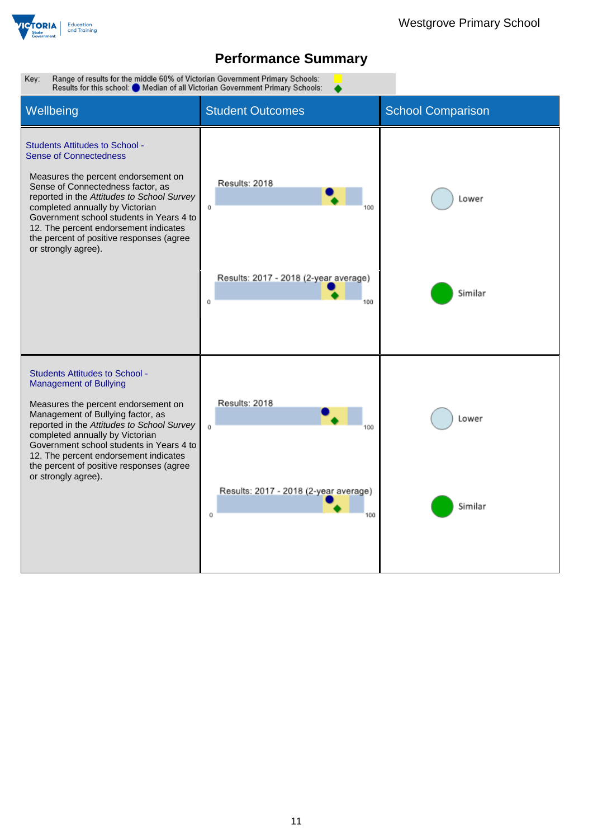

Key: Range of results for the middle 60% of Victorian Government Primary Schools: Results for this school: Median of all Victorian Government Primary Schools: Wellbeing **Student Outcomes** School Comparison Students Attitudes to School - Sense of Connectedness Measures the percent endorsement on Results: 2018 Sense of Connectedness factor, as reported in the *Attitudes to School Survey* Lower completed annually by Victorian  $\mathfrak{o}$ 100 Government school students in Years 4 to 12. The percent endorsement indicates the percent of positive responses (agree or strongly agree). Results: 2017 - 2018 (2-year average) Similar  $\mathbf{o}$ 100 Students Attitudes to School - Management of Bullying Results: 2018 Measures the percent endorsement on Management of Bullying factor, as Lower reported in the *Attitudes to School Survey*  $\alpha$ 100 completed annually by Victorian Government school students in Years 4 to 12. The percent endorsement indicates the percent of positive responses (agree or strongly agree).Results: 2017 - 2018 (2-year average) Similar  $\alpha$ 100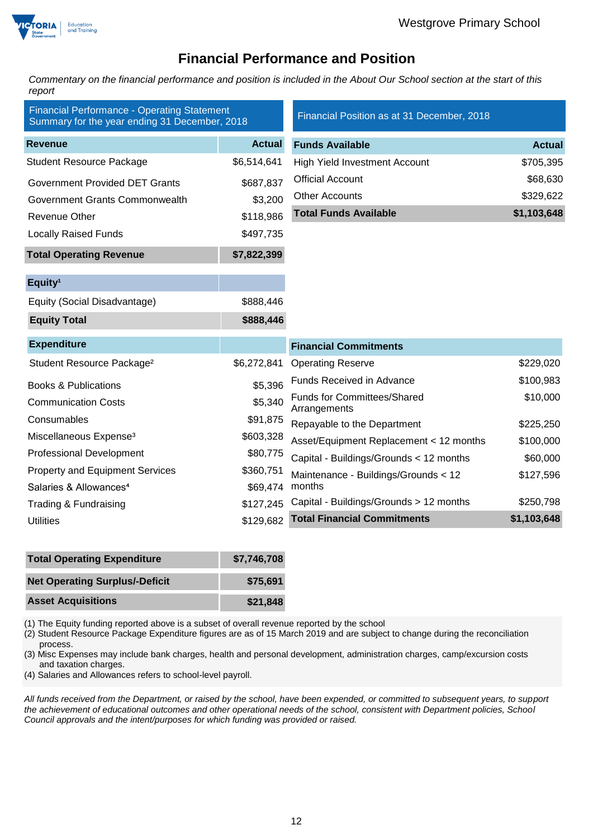

### **Financial Performance and Position**

*Commentary on the financial performance and position is included in the About Our School section at the start of this report*

| <b>Financial Performance - Operating Statement</b><br>Summary for the year ending 31 December, 2018 |               | Financial Position as at 31 December, 2018         |               |
|-----------------------------------------------------------------------------------------------------|---------------|----------------------------------------------------|---------------|
| <b>Revenue</b>                                                                                      | <b>Actual</b> | <b>Funds Available</b>                             | <b>Actual</b> |
| <b>Student Resource Package</b>                                                                     | \$6,514,641   | <b>High Yield Investment Account</b>               | \$705,395     |
| <b>Government Provided DET Grants</b>                                                               | \$687,837     | <b>Official Account</b>                            | \$68,630      |
| Government Grants Commonwealth                                                                      | \$3,200       | <b>Other Accounts</b>                              | \$329,622     |
| <b>Revenue Other</b>                                                                                | \$118,986     | <b>Total Funds Available</b>                       | \$1,103,648   |
| <b>Locally Raised Funds</b>                                                                         | \$497,735     |                                                    |               |
| <b>Total Operating Revenue</b>                                                                      | \$7,822,399   |                                                    |               |
| Equity <sup>1</sup>                                                                                 |               |                                                    |               |
| Equity (Social Disadvantage)                                                                        | \$888,446     |                                                    |               |
| <b>Equity Total</b>                                                                                 | \$888,446     |                                                    |               |
| <b>Expenditure</b>                                                                                  |               | <b>Financial Commitments</b>                       |               |
| Student Resource Package <sup>2</sup>                                                               | \$6,272,841   | <b>Operating Reserve</b>                           | \$229,020     |
| <b>Books &amp; Publications</b>                                                                     | \$5,396       | <b>Funds Received in Advance</b>                   | \$100,983     |
| <b>Communication Costs</b>                                                                          | \$5,340       | <b>Funds for Committees/Shared</b><br>Arrangements | \$10,000      |
| Consumables                                                                                         | \$91,875      | Repayable to the Department                        | \$225,250     |
| Miscellaneous Expense <sup>3</sup>                                                                  | \$603,328     | Asset/Equipment Replacement < 12 months            | \$100,000     |
| <b>Professional Development</b>                                                                     | \$80,775      | Capital - Buildings/Grounds < 12 months            | \$60,000      |
| <b>Property and Equipment Services</b>                                                              | \$360,751     | Maintenance - Buildings/Grounds < 12               | \$127,596     |
| Salaries & Allowances <sup>4</sup>                                                                  | \$69,474      | months                                             |               |
| Trading & Fundraising                                                                               | \$127,245     | Capital - Buildings/Grounds > 12 months            | \$250,798     |
| <b>Utilities</b>                                                                                    | \$129,682     | <b>Total Financial Commitments</b>                 | \$1,103,648   |

| <b>Total Operating Expenditure</b>    | \$7,746,708 |
|---------------------------------------|-------------|
| <b>Net Operating Surplus/-Deficit</b> | \$75.691    |
| <b>Asset Acquisitions</b>             | \$21,848    |

(1) The Equity funding reported above is a subset of overall revenue reported by the school

(2) Student Resource Package Expenditure figures are as of 15 March 2019 and are subject to change during the reconciliation process.

(3) Misc Expenses may include bank charges, health and personal development, administration charges, camp/excursion costs and taxation charges.

(4) Salaries and Allowances refers to school-level payroll.

*All funds received from the Department, or raised by the school, have been expended, or committed to subsequent years, to support the achievement of educational outcomes and other operational needs of the school, consistent with Department policies, School Council approvals and the intent/purposes for which funding was provided or raised.*